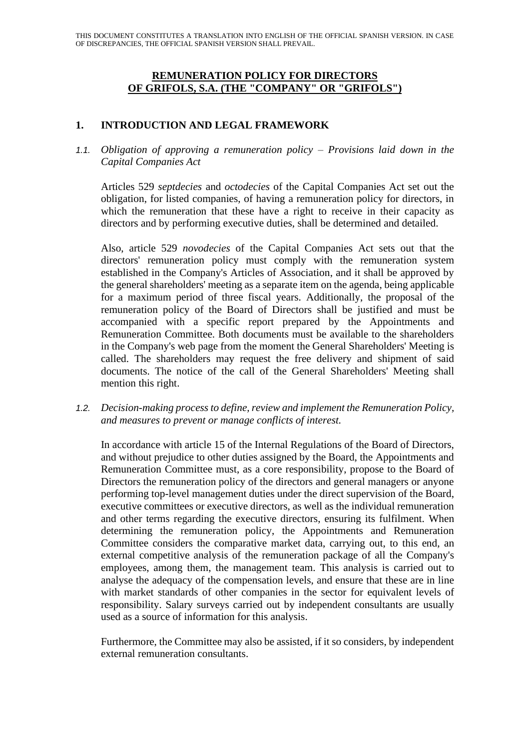### **REMUNERATION POLICY FOR DIRECTORS OF GRIFOLS, S.A. (THE "COMPANY" OR "GRIFOLS")**

# **1. INTRODUCTION AND LEGAL FRAMEWORK**

# *1.1. Obligation of approving a remuneration policy – Provisions laid down in the Capital Companies Act*

Articles 529 *septdecies* and *octodecies* of the Capital Companies Act set out the obligation, for listed companies, of having a remuneration policy for directors, in which the remuneration that these have a right to receive in their capacity as directors and by performing executive duties, shall be determined and detailed.

Also, article 529 *novodecies* of the Capital Companies Act sets out that the directors' remuneration policy must comply with the remuneration system established in the Company's Articles of Association, and it shall be approved by the general shareholders' meeting as a separate item on the agenda, being applicable for a maximum period of three fiscal years. Additionally, the proposal of the remuneration policy of the Board of Directors shall be justified and must be accompanied with a specific report prepared by the Appointments and Remuneration Committee. Both documents must be available to the shareholders in the Company's web page from the moment the General Shareholders' Meeting is called. The shareholders may request the free delivery and shipment of said documents. The notice of the call of the General Shareholders' Meeting shall mention this right.

*1.2. Decision-making process to define, review and implement the Remuneration Policy, and measures to prevent or manage conflicts of interest.*

In accordance with article 15 of the Internal Regulations of the Board of Directors, and without prejudice to other duties assigned by the Board, the Appointments and Remuneration Committee must, as a core responsibility, propose to the Board of Directors the remuneration policy of the directors and general managers or anyone performing top-level management duties under the direct supervision of the Board, executive committees or executive directors, as well as the individual remuneration and other terms regarding the executive directors, ensuring its fulfilment. When determining the remuneration policy, the Appointments and Remuneration Committee considers the comparative market data, carrying out, to this end, an external competitive analysis of the remuneration package of all the Company's employees, among them, the management team. This analysis is carried out to analyse the adequacy of the compensation levels, and ensure that these are in line with market standards of other companies in the sector for equivalent levels of responsibility. Salary surveys carried out by independent consultants are usually used as a source of information for this analysis.

Furthermore, the Committee may also be assisted, if it so considers, by independent external remuneration consultants.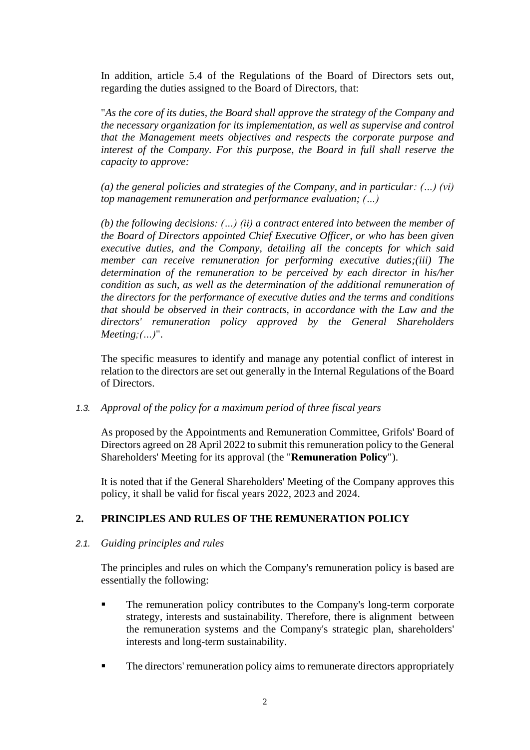In addition, article 5.4 of the Regulations of the Board of Directors sets out, regarding the duties assigned to the Board of Directors, that:

"*As the core of its duties, the Board shall approve the strategy of the Company and the necessary organization for its implementation, as well as supervise and control that the Management meets objectives and respects the corporate purpose and interest of the Company. For this purpose, the Board in full shall reserve the capacity to approve:*

*(a) the general policies and strategies of the Company, and in particular: (…) (vi) top management remuneration and performance evaluation; (…)*

*(b) the following decisions: (…) (ii) a contract entered into between the member of the Board of Directors appointed Chief Executive Officer, or who has been given executive duties, and the Company, detailing all the concepts for which said member can receive remuneration for performing executive duties;(iii) The determination of the remuneration to be perceived by each director in his/her condition as such, as well as the determination of the additional remuneration of the directors for the performance of executive duties and the terms and conditions that should be observed in their contracts, in accordance with the Law and the directors' remuneration policy approved by the General Shareholders Meeting;(…)*".

The specific measures to identify and manage any potential conflict of interest in relation to the directors are set out generally in the Internal Regulations of the Board of Directors.

*1.3. Approval of the policy for a maximum period of three fiscal years*

As proposed by the Appointments and Remuneration Committee, Grifols' Board of Directors agreed on 28 April 2022 to submit this remuneration policy to the General Shareholders' Meeting for its approval (the "**Remuneration Policy**").

It is noted that if the General Shareholders' Meeting of the Company approves this policy, it shall be valid for fiscal years 2022, 2023 and 2024.

# **2. PRINCIPLES AND RULES OF THE REMUNERATION POLICY**

### *2.1. Guiding principles and rules*

The principles and rules on which the Company's remuneration policy is based are essentially the following:

- **The remuneration policy contributes to the Company's long-term corporate** strategy, interests and sustainability. Therefore, there is alignment between the remuneration systems and the Company's strategic plan, shareholders' interests and long-term sustainability.
- The directors' remuneration policy aims to remunerate directors appropriately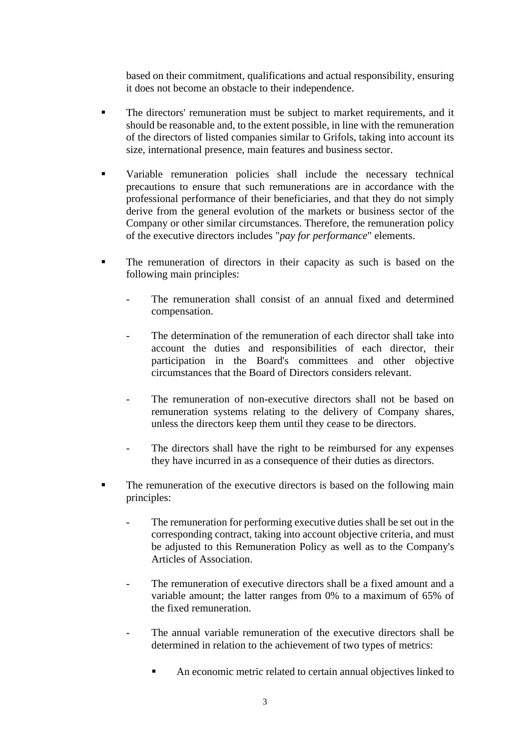based on their commitment, qualifications and actual responsibility, ensuring it does not become an obstacle to their independence.

- The directors' remuneration must be subject to market requirements, and it should be reasonable and, to the extent possible, in line with the remuneration of the directors of listed companies similar to Grifols, taking into account its size, international presence, main features and business sector.
- Variable remuneration policies shall include the necessary technical precautions to ensure that such remunerations are in accordance with the professional performance of their beneficiaries, and that they do not simply derive from the general evolution of the markets or business sector of the Company or other similar circumstances. Therefore, the remuneration policy of the executive directors includes "*pay for performance*" elements.
- The remuneration of directors in their capacity as such is based on the following main principles:
	- The remuneration shall consist of an annual fixed and determined compensation.
	- The determination of the remuneration of each director shall take into account the duties and responsibilities of each director, their participation in the Board's committees and other objective circumstances that the Board of Directors considers relevant.
	- The remuneration of non-executive directors shall not be based on remuneration systems relating to the delivery of Company shares, unless the directors keep them until they cease to be directors.
	- The directors shall have the right to be reimbursed for any expenses they have incurred in as a consequence of their duties as directors.
- The remuneration of the executive directors is based on the following main principles:
	- The remuneration for performing executive duties shall be set out in the corresponding contract, taking into account objective criteria, and must be adjusted to this Remuneration Policy as well as to the Company's Articles of Association.
	- The remuneration of executive directors shall be a fixed amount and a variable amount; the latter ranges from 0% to a maximum of 65% of the fixed remuneration.
	- The annual variable remuneration of the executive directors shall be determined in relation to the achievement of two types of metrics:
		- An economic metric related to certain annual objectives linked to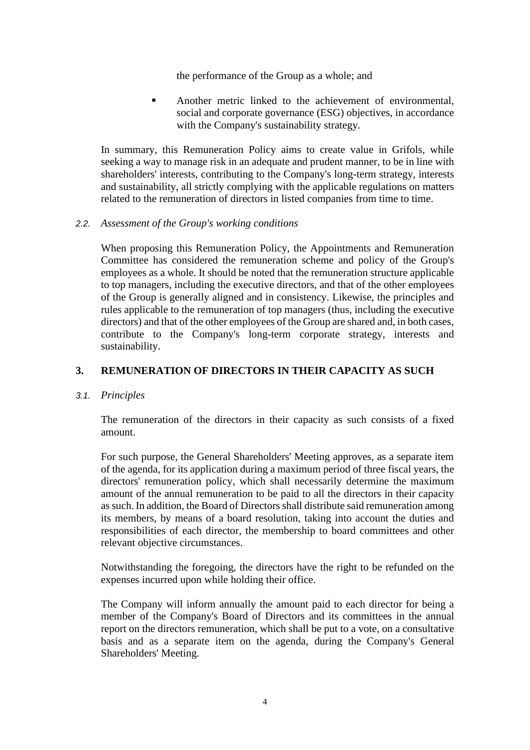the performance of the Group as a whole; and

**EXECUTE:** Another metric linked to the achievement of environmental, social and corporate governance (ESG) objectives, in accordance with the Company's sustainability strategy.

In summary, this Remuneration Policy aims to create value in Grifols, while seeking a way to manage risk in an adequate and prudent manner, to be in line with shareholders' interests, contributing to the Company's long-term strategy, interests and sustainability, all strictly complying with the applicable regulations on matters related to the remuneration of directors in listed companies from time to time.

#### *2.2. Assessment of the Group's working conditions*

When proposing this Remuneration Policy, the Appointments and Remuneration Committee has considered the remuneration scheme and policy of the Group's employees as a whole. It should be noted that the remuneration structure applicable to top managers, including the executive directors, and that of the other employees of the Group is generally aligned and in consistency. Likewise, the principles and rules applicable to the remuneration of top managers (thus, including the executive directors) and that of the other employees of the Group are shared and, in both cases, contribute to the Company's long-term corporate strategy, interests and sustainability.

### **3. REMUNERATION OF DIRECTORS IN THEIR CAPACITY AS SUCH**

### *3.1. Principles*

The remuneration of the directors in their capacity as such consists of a fixed amount.

For such purpose, the General Shareholders' Meeting approves, as a separate item of the agenda, for its application during a maximum period of three fiscal years, the directors' remuneration policy, which shall necessarily determine the maximum amount of the annual remuneration to be paid to all the directors in their capacity as such. In addition, the Board of Directors shall distribute said remuneration among its members, by means of a board resolution, taking into account the duties and responsibilities of each director, the membership to board committees and other relevant objective circumstances.

Notwithstanding the foregoing, the directors have the right to be refunded on the expenses incurred upon while holding their office.

The Company will inform annually the amount paid to each director for being a member of the Company's Board of Directors and its committees in the annual report on the directors remuneration, which shall be put to a vote, on a consultative basis and as a separate item on the agenda, during the Company's General Shareholders' Meeting.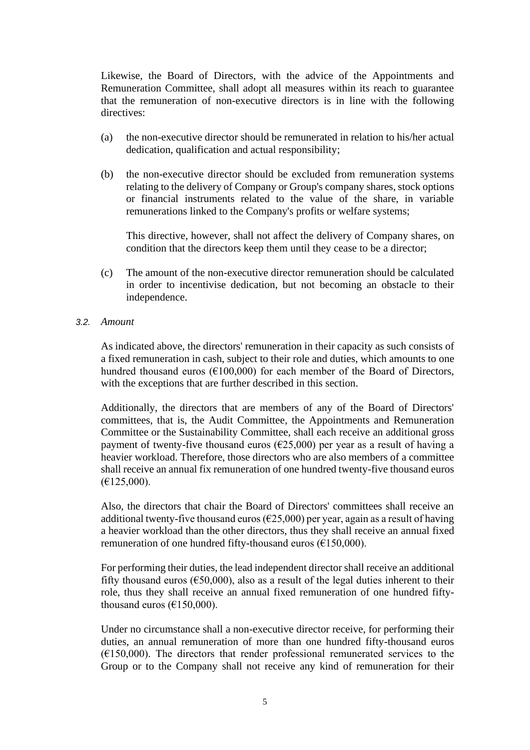Likewise, the Board of Directors, with the advice of the Appointments and Remuneration Committee, shall adopt all measures within its reach to guarantee that the remuneration of non-executive directors is in line with the following directives:

- (a) the non-executive director should be remunerated in relation to his/her actual dedication, qualification and actual responsibility;
- (b) the non-executive director should be excluded from remuneration systems relating to the delivery of Company or Group's company shares, stock options or financial instruments related to the value of the share, in variable remunerations linked to the Company's profits or welfare systems;

This directive, however, shall not affect the delivery of Company shares, on condition that the directors keep them until they cease to be a director;

(c) The amount of the non-executive director remuneration should be calculated in order to incentivise dedication, but not becoming an obstacle to their independence.

#### *3.2. Amount*

As indicated above, the directors' remuneration in their capacity as such consists of a fixed remuneration in cash, subject to their role and duties, which amounts to one hundred thousand euros ( $E100,000$ ) for each member of the Board of Directors, with the exceptions that are further described in this section.

Additionally, the directors that are members of any of the Board of Directors' committees, that is, the Audit Committee, the Appointments and Remuneration Committee or the Sustainability Committee, shall each receive an additional gross payment of twenty-five thousand euros ( $\epsilon$ 25,000) per year as a result of having a heavier workload. Therefore, those directors who are also members of a committee shall receive an annual fix remuneration of one hundred twenty-five thousand euros  $(E125,000)$ .

Also, the directors that chair the Board of Directors' committees shall receive an additional twenty-five thousand euros ( $\epsilon$ 25,000) per year, again as a result of having a heavier workload than the other directors, thus they shall receive an annual fixed remuneration of one hundred fifty-thousand euros ( $€150,000$ ).

For performing their duties, the lead independent director shall receive an additional fifty thousand euros ( $\epsilon$ 50,000), also as a result of the legal duties inherent to their role, thus they shall receive an annual fixed remuneration of one hundred fiftythousand euros ( $E150,000$ ).

Under no circumstance shall a non-executive director receive, for performing their duties, an annual remuneration of more than one hundred fifty-thousand euros  $(6150,000)$ . The directors that render professional remunerated services to the Group or to the Company shall not receive any kind of remuneration for their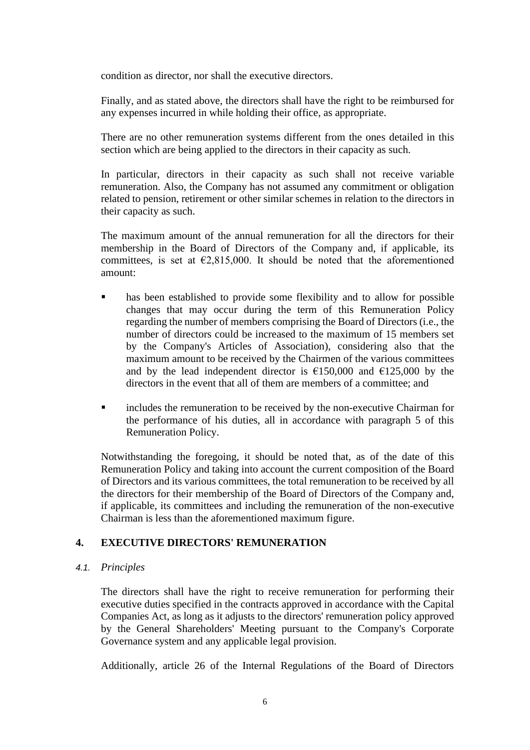condition as director, nor shall the executive directors.

Finally, and as stated above, the directors shall have the right to be reimbursed for any expenses incurred in while holding their office, as appropriate.

There are no other remuneration systems different from the ones detailed in this section which are being applied to the directors in their capacity as such.

In particular, directors in their capacity as such shall not receive variable remuneration. Also, the Company has not assumed any commitment or obligation related to pension, retirement or other similar schemes in relation to the directors in their capacity as such.

The maximum amount of the annual remuneration for all the directors for their membership in the Board of Directors of the Company and, if applicable, its committees, is set at  $\epsilon$ 2,815,000. It should be noted that the aforementioned amount:

- has been established to provide some flexibility and to allow for possible changes that may occur during the term of this Remuneration Policy regarding the number of members comprising the Board of Directors (i.e., the number of directors could be increased to the maximum of 15 members set by the Company's Articles of Association), considering also that the maximum amount to be received by the Chairmen of the various committees and by the lead independent director is  $\epsilon$ 150,000 and  $\epsilon$ 125,000 by the directors in the event that all of them are members of a committee; and
- includes the remuneration to be received by the non-executive Chairman for the performance of his duties, all in accordance with paragraph 5 of this Remuneration Policy.

Notwithstanding the foregoing, it should be noted that, as of the date of this Remuneration Policy and taking into account the current composition of the Board of Directors and its various committees, the total remuneration to be received by all the directors for their membership of the Board of Directors of the Company and, if applicable, its committees and including the remuneration of the non-executive Chairman is less than the aforementioned maximum figure.

### **4. EXECUTIVE DIRECTORS' REMUNERATION**

### *4.1. Principles*

The directors shall have the right to receive remuneration for performing their executive duties specified in the contracts approved in accordance with the Capital Companies Act, as long as it adjusts to the directors' remuneration policy approved by the General Shareholders' Meeting pursuant to the Company's Corporate Governance system and any applicable legal provision.

Additionally, article 26 of the Internal Regulations of the Board of Directors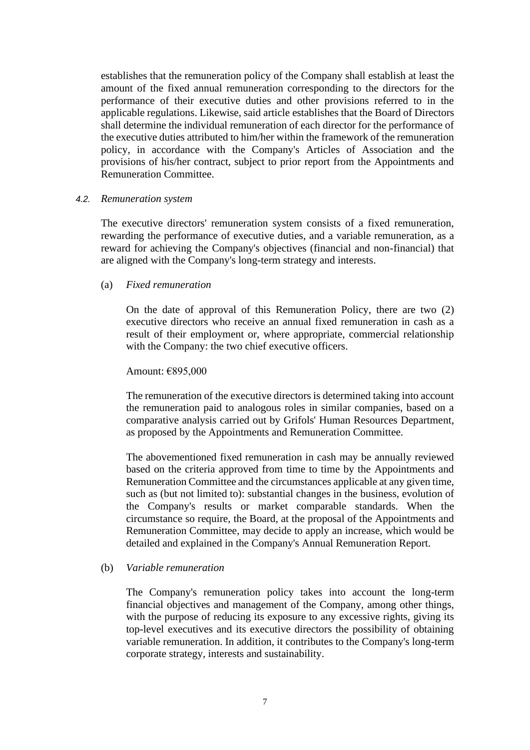establishes that the remuneration policy of the Company shall establish at least the amount of the fixed annual remuneration corresponding to the directors for the performance of their executive duties and other provisions referred to in the applicable regulations. Likewise, said article establishes that the Board of Directors shall determine the individual remuneration of each director for the performance of the executive duties attributed to him/her within the framework of the remuneration policy, in accordance with the Company's Articles of Association and the provisions of his/her contract, subject to prior report from the Appointments and Remuneration Committee.

#### *4.2. Remuneration system*

The executive directors' remuneration system consists of a fixed remuneration, rewarding the performance of executive duties, and a variable remuneration, as a reward for achieving the Company's objectives (financial and non-financial) that are aligned with the Company's long-term strategy and interests.

#### (a) *Fixed remuneration*

On the date of approval of this Remuneration Policy, there are two (2) executive directors who receive an annual fixed remuneration in cash as a result of their employment or, where appropriate, commercial relationship with the Company: the two chief executive officers.

#### Amount: €895,000

The remuneration of the executive directors is determined taking into account the remuneration paid to analogous roles in similar companies, based on a comparative analysis carried out by Grifols' Human Resources Department, as proposed by the Appointments and Remuneration Committee.

The abovementioned fixed remuneration in cash may be annually reviewed based on the criteria approved from time to time by the Appointments and Remuneration Committee and the circumstances applicable at any given time, such as (but not limited to): substantial changes in the business, evolution of the Company's results or market comparable standards. When the circumstance so require, the Board, at the proposal of the Appointments and Remuneration Committee, may decide to apply an increase, which would be detailed and explained in the Company's Annual Remuneration Report.

### (b) *Variable remuneration*

The Company's remuneration policy takes into account the long-term financial objectives and management of the Company, among other things, with the purpose of reducing its exposure to any excessive rights, giving its top-level executives and its executive directors the possibility of obtaining variable remuneration. In addition, it contributes to the Company's long-term corporate strategy, interests and sustainability.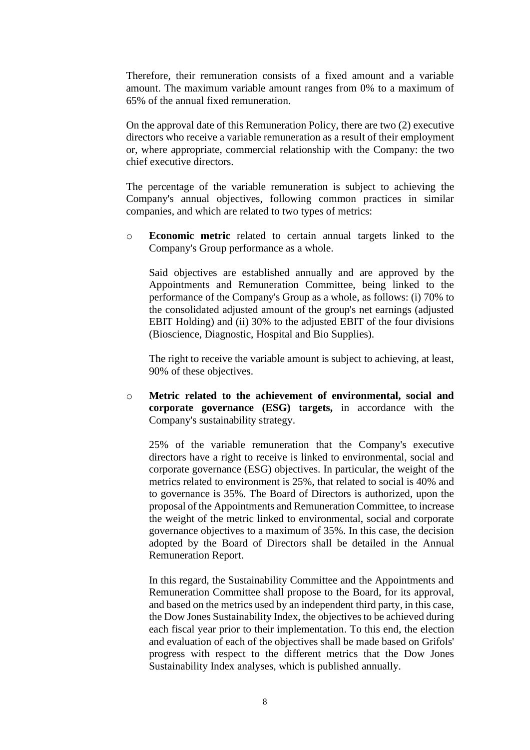Therefore, their remuneration consists of a fixed amount and a variable amount. The maximum variable amount ranges from 0% to a maximum of 65% of the annual fixed remuneration.

On the approval date of this Remuneration Policy, there are two (2) executive directors who receive a variable remuneration as a result of their employment or, where appropriate, commercial relationship with the Company: the two chief executive directors.

The percentage of the variable remuneration is subject to achieving the Company's annual objectives, following common practices in similar companies, and which are related to two types of metrics:

o **Economic metric** related to certain annual targets linked to the Company's Group performance as a whole.

Said objectives are established annually and are approved by the Appointments and Remuneration Committee, being linked to the performance of the Company's Group as a whole, as follows: (i) 70% to the consolidated adjusted amount of the group's net earnings (adjusted EBIT Holding) and (ii) 30% to the adjusted EBIT of the four divisions (Bioscience, Diagnostic, Hospital and Bio Supplies).

The right to receive the variable amount is subject to achieving, at least, 90% of these objectives.

o **Metric related to the achievement of environmental, social and corporate governance (ESG) targets,** in accordance with the Company's sustainability strategy.

25% of the variable remuneration that the Company's executive directors have a right to receive is linked to environmental, social and corporate governance (ESG) objectives. In particular, the weight of the metrics related to environment is 25%, that related to social is 40% and to governance is 35%. The Board of Directors is authorized, upon the proposal of the Appointments and Remuneration Committee, to increase the weight of the metric linked to environmental, social and corporate governance objectives to a maximum of 35%. In this case, the decision adopted by the Board of Directors shall be detailed in the Annual Remuneration Report.

In this regard, the Sustainability Committee and the Appointments and Remuneration Committee shall propose to the Board, for its approval, and based on the metrics used by an independent third party, in this case, the Dow Jones Sustainability Index, the objectives to be achieved during each fiscal year prior to their implementation. To this end, the election and evaluation of each of the objectives shall be made based on Grifols' progress with respect to the different metrics that the Dow Jones Sustainability Index analyses, which is published annually.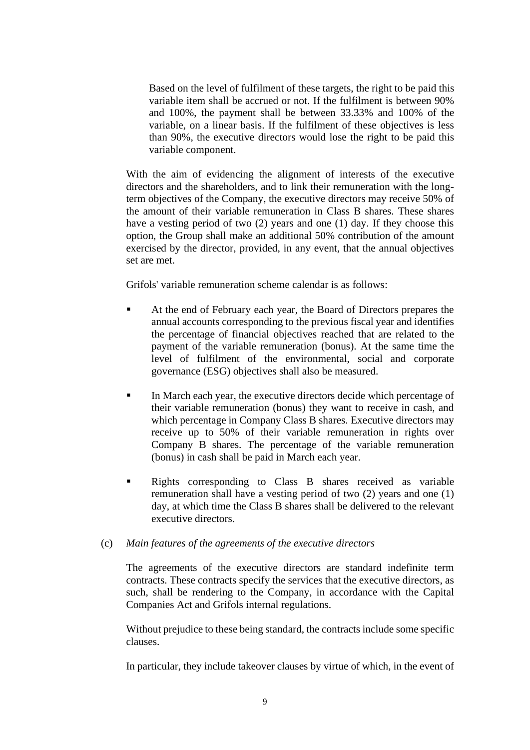Based on the level of fulfilment of these targets, the right to be paid this variable item shall be accrued or not. If the fulfilment is between 90% and 100%, the payment shall be between 33.33% and 100% of the variable, on a linear basis. If the fulfilment of these objectives is less than 90%, the executive directors would lose the right to be paid this variable component.

With the aim of evidencing the alignment of interests of the executive directors and the shareholders, and to link their remuneration with the longterm objectives of the Company, the executive directors may receive 50% of the amount of their variable remuneration in Class B shares. These shares have a vesting period of two (2) years and one (1) day. If they choose this option, the Group shall make an additional 50% contribution of the amount exercised by the director, provided, in any event, that the annual objectives set are met.

Grifols' variable remuneration scheme calendar is as follows:

- At the end of February each year, the Board of Directors prepares the annual accounts corresponding to the previous fiscal year and identifies the percentage of financial objectives reached that are related to the payment of the variable remuneration (bonus). At the same time the level of fulfilment of the environmental, social and corporate governance (ESG) objectives shall also be measured.
- **IF** In March each year, the executive directors decide which percentage of their variable remuneration (bonus) they want to receive in cash, and which percentage in Company Class B shares. Executive directors may receive up to 50% of their variable remuneration in rights over Company B shares. The percentage of the variable remuneration (bonus) in cash shall be paid in March each year.
- Rights corresponding to Class B shares received as variable remuneration shall have a vesting period of two (2) years and one (1) day, at which time the Class B shares shall be delivered to the relevant executive directors.

# (c) *Main features of the agreements of the executive directors*

The agreements of the executive directors are standard indefinite term contracts. These contracts specify the services that the executive directors, as such, shall be rendering to the Company, in accordance with the Capital Companies Act and Grifols internal regulations.

Without prejudice to these being standard, the contracts include some specific clauses.

In particular, they include takeover clauses by virtue of which, in the event of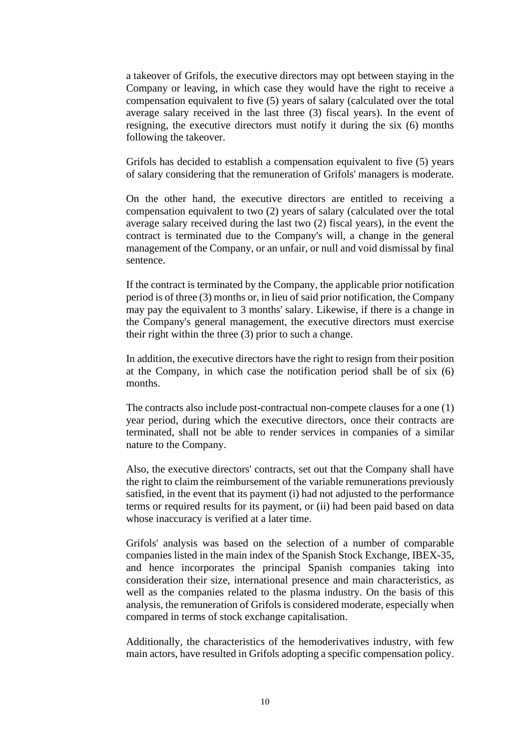a takeover of Grifols, the executive directors may opt between staying in the Company or leaving, in which case they would have the right to receive a compensation equivalent to five (5) years of salary (calculated over the total average salary received in the last three (3) fiscal years). In the event of resigning, the executive directors must notify it during the six (6) months following the takeover.

Grifols has decided to establish a compensation equivalent to five (5) years of salary considering that the remuneration of Grifols' managers is moderate.

On the other hand, the executive directors are entitled to receiving a compensation equivalent to two (2) years of salary (calculated over the total average salary received during the last two (2) fiscal years), in the event the contract is terminated due to the Company's will, a change in the general management of the Company, or an unfair, or null and void dismissal by final sentence.

If the contract is terminated by the Company, the applicable prior notification period is of three (3) months or, in lieu of said prior notification, the Company may pay the equivalent to 3 months' salary. Likewise, if there is a change in the Company's general management, the executive directors must exercise their right within the three (3) prior to such a change.

In addition, the executive directors have the right to resign from their position at the Company, in which case the notification period shall be of six (6) months.

The contracts also include post-contractual non-compete clauses for a one (1) year period, during which the executive directors, once their contracts are terminated, shall not be able to render services in companies of a similar nature to the Company.

Also, the executive directors' contracts, set out that the Company shall have the right to claim the reimbursement of the variable remunerations previously satisfied, in the event that its payment (i) had not adjusted to the performance terms or required results for its payment, or (ii) had been paid based on data whose inaccuracy is verified at a later time.

Grifols' analysis was based on the selection of a number of comparable companies listed in the main index of the Spanish Stock Exchange, IBEX-35, and hence incorporates the principal Spanish companies taking into consideration their size, international presence and main characteristics, as well as the companies related to the plasma industry. On the basis of this analysis, the remuneration of Grifols is considered moderate, especially when compared in terms of stock exchange capitalisation.

Additionally, the characteristics of the hemoderivatives industry, with few main actors, have resulted in Grifols adopting a specific compensation policy.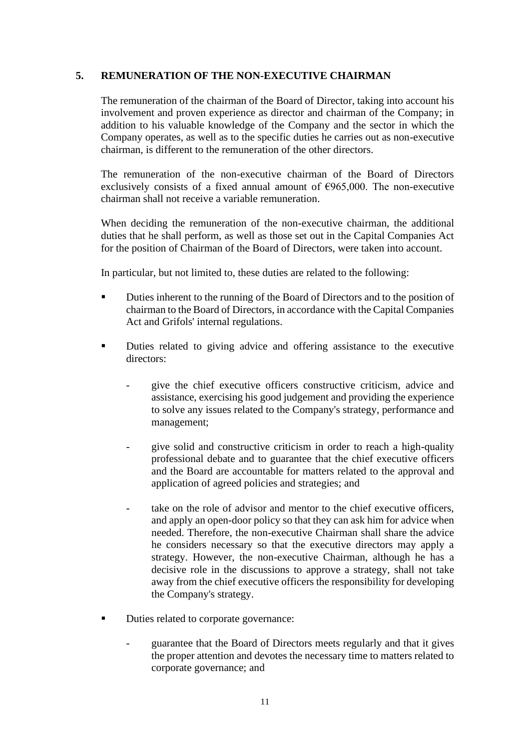### **5. REMUNERATION OF THE NON-EXECUTIVE CHAIRMAN**

The remuneration of the chairman of the Board of Director, taking into account his involvement and proven experience as director and chairman of the Company; in addition to his valuable knowledge of the Company and the sector in which the Company operates, as well as to the specific duties he carries out as non-executive chairman, is different to the remuneration of the other directors.

The remuneration of the non-executive chairman of the Board of Directors exclusively consists of a fixed annual amount of  $\epsilon$ 965,000. The non-executive chairman shall not receive a variable remuneration.

When deciding the remuneration of the non-executive chairman, the additional duties that he shall perform, as well as those set out in the Capital Companies Act for the position of Chairman of the Board of Directors, were taken into account.

In particular, but not limited to, these duties are related to the following:

- **Duties inherent to the running of the Board of Directors and to the position of** chairman to the Board of Directors, in accordance with the Capital Companies Act and Grifols' internal regulations.
- **•** Duties related to giving advice and offering assistance to the executive directors<sup>.</sup>
	- give the chief executive officers constructive criticism, advice and assistance, exercising his good judgement and providing the experience to solve any issues related to the Company's strategy, performance and management;
	- give solid and constructive criticism in order to reach a high-quality professional debate and to guarantee that the chief executive officers and the Board are accountable for matters related to the approval and application of agreed policies and strategies; and
	- take on the role of advisor and mentor to the chief executive officers. and apply an open-door policy so that they can ask him for advice when needed. Therefore, the non-executive Chairman shall share the advice he considers necessary so that the executive directors may apply a strategy. However, the non-executive Chairman, although he has a decisive role in the discussions to approve a strategy, shall not take away from the chief executive officers the responsibility for developing the Company's strategy.
- Duties related to corporate governance:
	- guarantee that the Board of Directors meets regularly and that it gives the proper attention and devotes the necessary time to matters related to corporate governance; and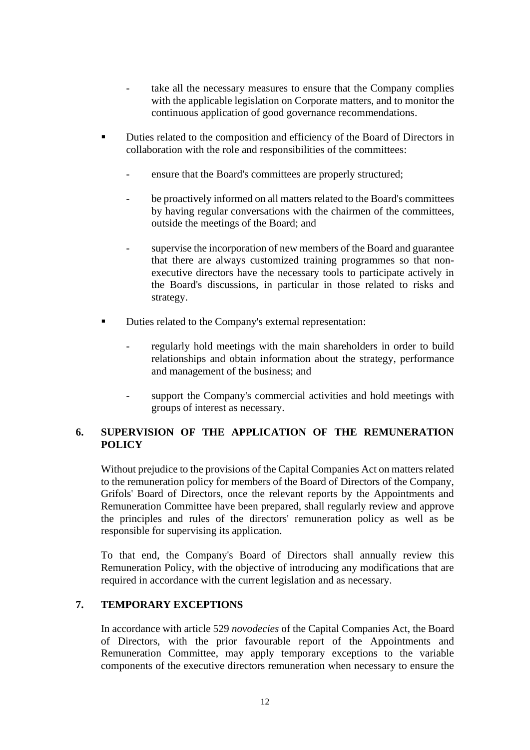- take all the necessary measures to ensure that the Company complies with the applicable legislation on Corporate matters, and to monitor the continuous application of good governance recommendations.
- Duties related to the composition and efficiency of the Board of Directors in collaboration with the role and responsibilities of the committees:
	- ensure that the Board's committees are properly structured;
	- be proactively informed on all matters related to the Board's committees by having regular conversations with the chairmen of the committees, outside the meetings of the Board; and
	- supervise the incorporation of new members of the Board and guarantee that there are always customized training programmes so that nonexecutive directors have the necessary tools to participate actively in the Board's discussions, in particular in those related to risks and strategy.
- Duties related to the Company's external representation:
	- regularly hold meetings with the main shareholders in order to build relationships and obtain information about the strategy, performance and management of the business; and
	- support the Company's commercial activities and hold meetings with groups of interest as necessary.

# **6. SUPERVISION OF THE APPLICATION OF THE REMUNERATION POLICY**

Without prejudice to the provisions of the Capital Companies Act on matters related to the remuneration policy for members of the Board of Directors of the Company, Grifols' Board of Directors, once the relevant reports by the Appointments and Remuneration Committee have been prepared, shall regularly review and approve the principles and rules of the directors' remuneration policy as well as be responsible for supervising its application.

To that end, the Company's Board of Directors shall annually review this Remuneration Policy, with the objective of introducing any modifications that are required in accordance with the current legislation and as necessary.

# **7. TEMPORARY EXCEPTIONS**

In accordance with article 529 *novodecies* of the Capital Companies Act, the Board of Directors, with the prior favourable report of the Appointments and Remuneration Committee, may apply temporary exceptions to the variable components of the executive directors remuneration when necessary to ensure the